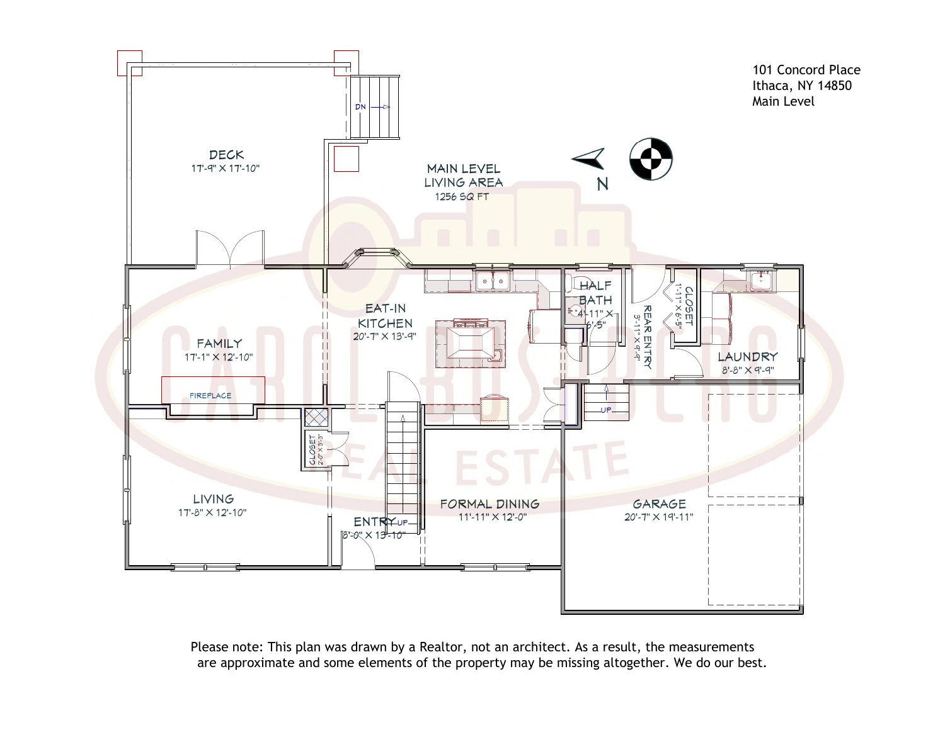

Please note: This plan was drawn by a Realtor, not an architect. As a result, the measurements are approximate and some elements of the property may be missing altogether. We do our best.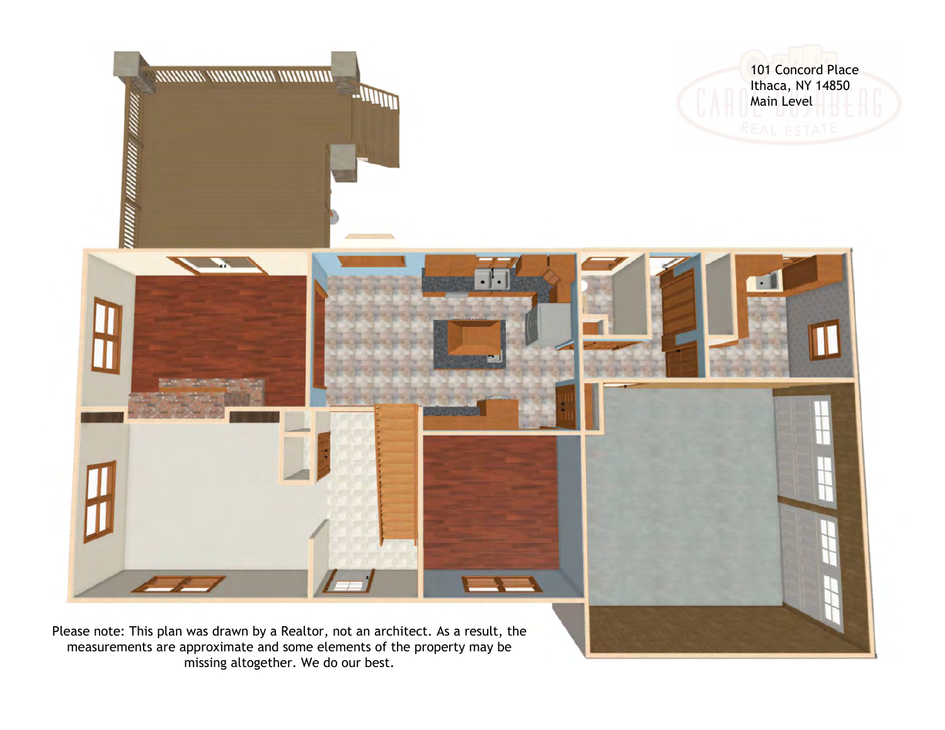

missing altogether. We do our best.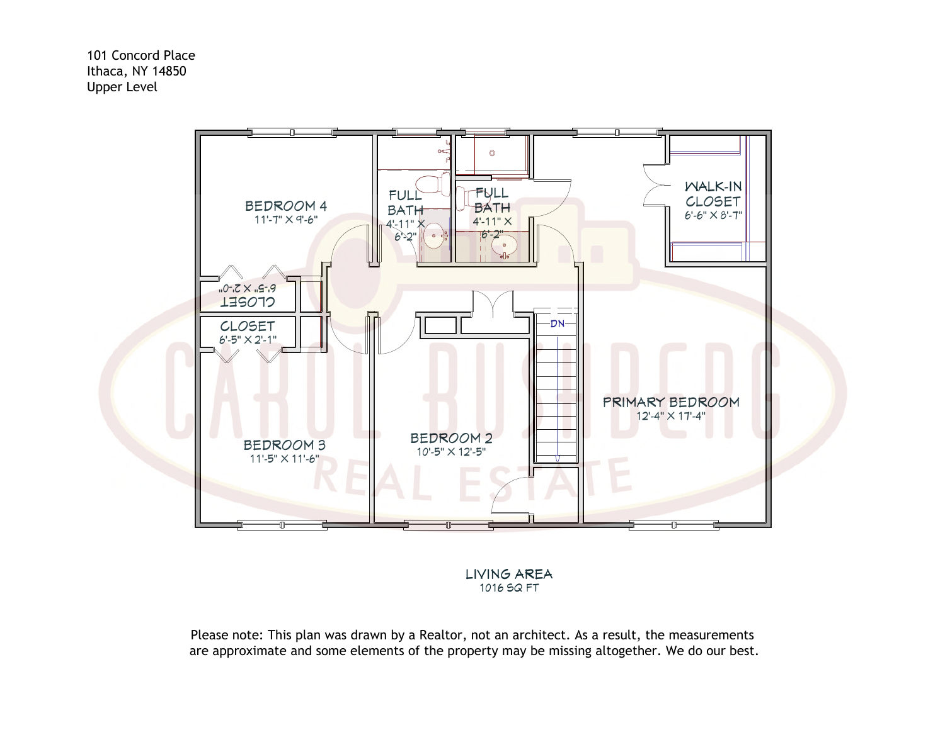101 Concord Place Ithaca, NY 14850 Upper Level



LIVING AREA 1016 SQ FT

Please note: This plan was drawn by a Realtor, not an architect. As a result, the measurements are approximate and some elements of the property may be missing altogether. We do our best.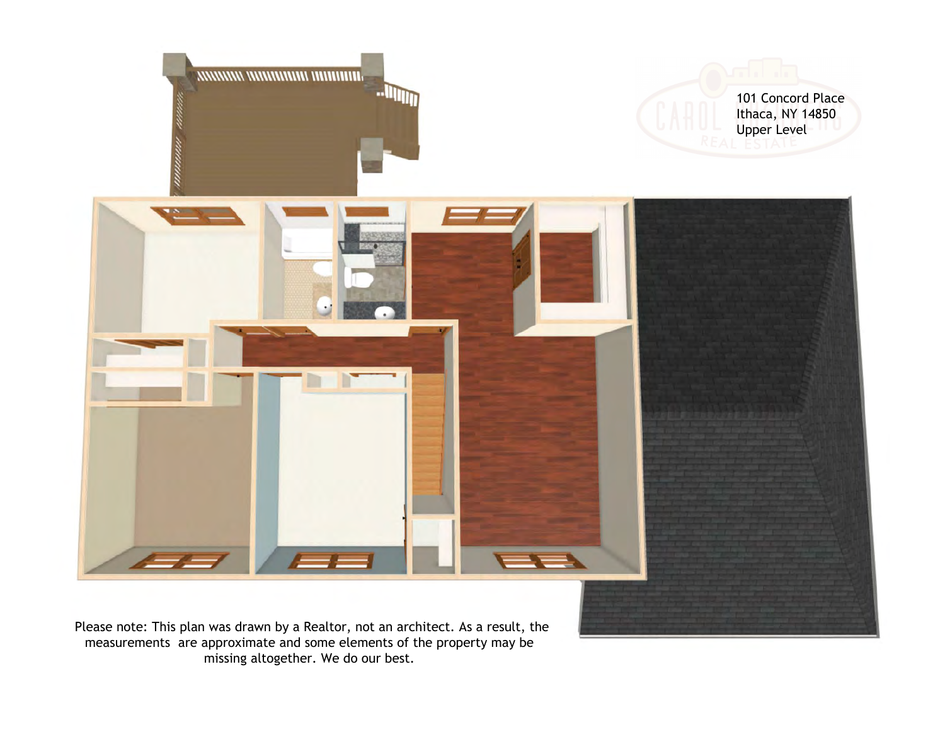

measurements are approximate and some elements of the property may be missing altogether. We do our best.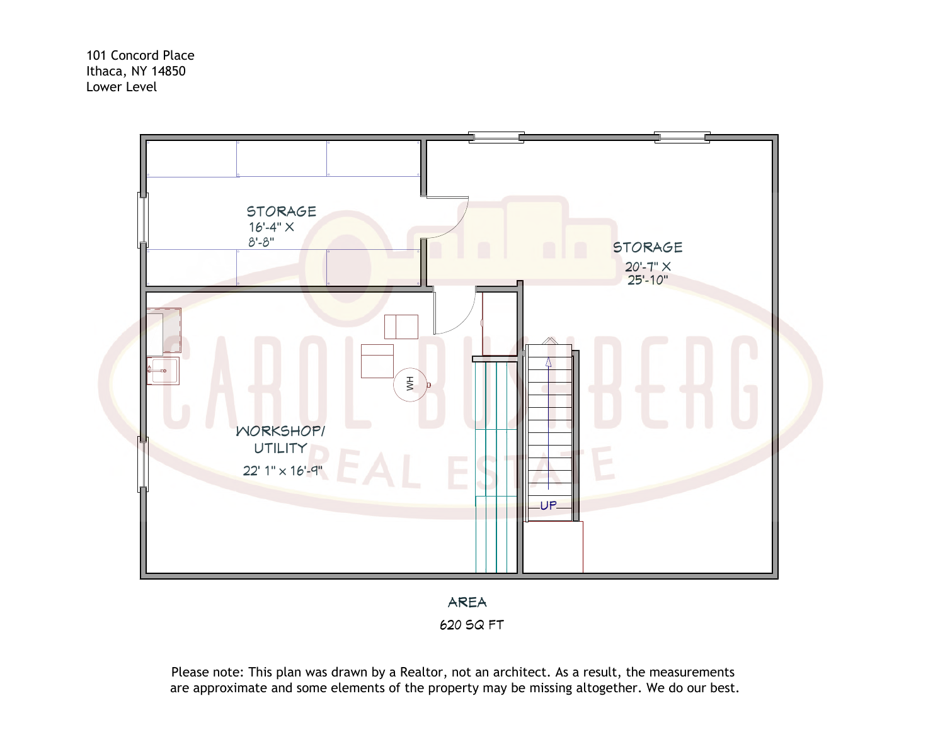101 Concord Place Ithaca, NY 14850 Lower Level



AREA 620 SQ FT

Please note: This plan was drawn by a Realtor, not an architect. As a result, the measurements are approximate and some elements of the property may be missing altogether. We do our best.